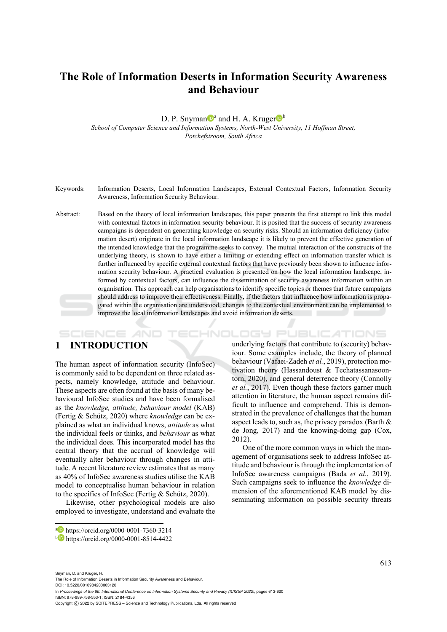# **The Role of Information Deserts in Information Security Awareness and Behaviour**

D. P. Snyman<sup>t a</sup> and H. A. Kruger<sup>t b</sup>

*School of Computer Science and Information Systems, North-West University, 11 Hoffman Street, Potchefstroom, South Africa* 

- Keywords: Information Deserts, Local Information Landscapes, External Contextual Factors, Information Security Awareness, Information Security Behaviour.
- Abstract: Based on the theory of local information landscapes, this paper presents the first attempt to link this model with contextual factors in information security behaviour. It is posited that the success of security awareness campaigns is dependent on generating knowledge on security risks. Should an information deficiency (information desert) originate in the local information landscape it is likely to prevent the effective generation of the intended knowledge that the programme seeks to convey. The mutual interaction of the constructs of the underlying theory, is shown to have either a limiting or extending effect on information transfer which is further influenced by specific external contextual factors that have previously been shown to influence information security behaviour. A practical evaluation is presented on how the local information landscape, informed by contextual factors, can influence the dissemination of security awareness information within an organisation. This approach can help organisations to identify specific topics or themes that future campaigns should address to improve their effectiveness. Finally, if the factors that influence how information is propagated within the organisation are understood, changes to the contextual environment can be implemented to improve the local information landscapes and avoid information deserts.

#### **IHNOLOGY PUBLICATIONS** SCIENCE *A*ND

# **1 INTRODUCTION**

The human aspect of information security (InfoSec) is commonly said to be dependent on three related aspects, namely knowledge, attitude and behaviour. These aspects are often found at the basis of many behavioural InfoSec studies and have been formalised as the *knowledge, attitude, behaviour model* (KAB) (Fertig & Schütz, 2020) where *knowledge* can be explained as what an individual knows, *attitude* as what the individual feels or thinks, and *behaviour* as what the individual does. This incorporated model has the central theory that the accrual of knowledge will eventually alter behaviour through changes in attitude. A recent literature review estimates that as many as 40% of InfoSec awareness studies utilise the KAB model to conceptualise human behaviour in relation to the specifics of InfoSec (Fertig & Schütz, 2020).

Likewise, other psychological models are also employed to investigate, understand and evaluate the

underlying factors that contribute to (security) behaviour. Some examples include, the theory of planned behaviour (Vafaei-Zadeh *et al.*, 2019), protection motivation theory (Hassandoust & Techatassanasoontorn, 2020), and general deterrence theory (Connolly *et al.*, 2017). Even though these factors garner much attention in literature, the human aspect remains difficult to influence and comprehend. This is demonstrated in the prevalence of challenges that the human aspect leads to, such as, the privacy paradox (Barth & de Jong, 2017) and the knowing-doing gap (Cox, 2012).

One of the more common ways in which the management of organisations seek to address InfoSec attitude and behaviour is through the implementation of InfoSec awareness campaigns (Bada *et al.*, 2019). Such campaigns seek to influence the *knowledge* dimension of the aforementioned KAB model by disseminating information on possible security threats

Snyman, D. and Kruger, H.

The Role of Information Deserts in Information Security Awareness and Behaviour.

DOI: 10.5220/0010984200003120

In *Proceedings of the 8th International Conference on Information Systems Security and Privacy (ICISSP 2022)*, pages 613-620 ISBN: 978-989-758-553-1; ISSN: 2184-4356

a https://orcid.org/0000-0001-7360-3214<br>b https://orcid.org/0000-0001-8514-4422

Copyright (C) 2022 by SCITEPRESS - Science and Technology Publications, Lda. All rights reserved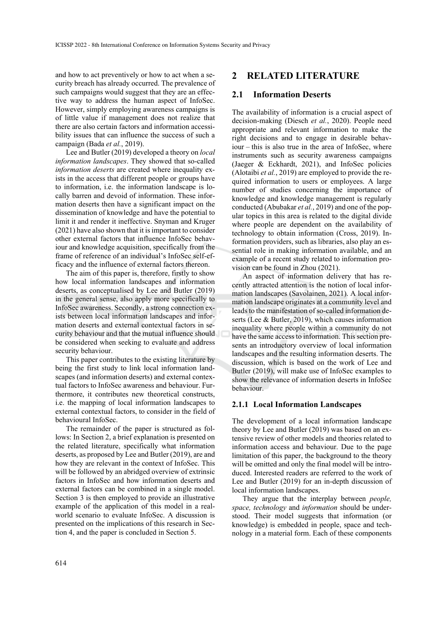and how to act preventively or how to act when a security breach has already occurred. The prevalence of such campaigns would suggest that they are an effective way to address the human aspect of InfoSec. However, simply employing awareness campaigns is of little value if management does not realize that there are also certain factors and information accessibility issues that can influence the success of such a campaign (Bada *et al.*, 2019).

Lee and Butler (2019) developed a theory on *local information landscapes*. They showed that so-called *information deserts* are created where inequality exists in the access that different people or groups have to information, i.e. the information landscape is locally barren and devoid of information. These information deserts then have a significant impact on the dissemination of knowledge and have the potential to limit it and render it ineffective. Snyman and Kruger (2021) have also shown that it is important to consider other external factors that influence InfoSec behaviour and knowledge acquisition, specifically from the frame of reference of an individual's InfoSec self-efficacy and the influence of external factors thereon.

The aim of this paper is, therefore, firstly to show how local information landscapes and information deserts, as conceptualised by Lee and Butler (2019) in the general sense, also apply more specifically to InfoSec awareness. Secondly, a strong connection exists between local information landscapes and information deserts and external contextual factors in security behaviour and that the mutual influence should be considered when seeking to evaluate and address security behaviour.

This paper contributes to the existing literature by being the first study to link local information landscapes (and information deserts) and external contextual factors to InfoSec awareness and behaviour. Furthermore, it contributes new theoretical constructs, i.e. the mapping of local information landscapes to external contextual factors, to consider in the field of behavioural InfoSec.

The remainder of the paper is structured as follows: In Section 2, a brief explanation is presented on the related literature, specifically what information deserts, as proposed by Lee and Butler (2019), are and how they are relevant in the context of InfoSec. This will be followed by an abridged overview of extrinsic factors in InfoSec and how information deserts and external factors can be combined in a single model. Section 3 is then employed to provide an illustrative example of the application of this model in a realworld scenario to evaluate InfoSec. A discussion is presented on the implications of this research in Section 4, and the paper is concluded in Section 5.

### **2 RELATED LITERATURE**

### **2.1 Information Deserts**

The availability of information is a crucial aspect of decision-making (Diesch *et al.*, 2020). People need appropriate and relevant information to make the right decisions and to engage in desirable behaviour – this is also true in the area of InfoSec, where instruments such as security awareness campaigns (Jaeger & Eckhardt, 2021), and InfoSec policies (Alotaibi *et al.*, 2019) are employed to provide the required information to users or employees. A large number of studies concerning the importance of knowledge and knowledge management is regularly conducted (Abubakar *et al.*, 2019) and one of the popular topics in this area is related to the digital divide where people are dependent on the availability of technology to obtain information (Cross, 2019). Information providers, such as libraries, also play an essential role in making information available, and an example of a recent study related to information provision can be found in Zhou (2021).

An aspect of information delivery that has recently attracted attention is the notion of local information landscapes (Savolainen, 2021). A local information landscape originates at a community level and leads to the manifestation of so-called information deserts (Lee & Butler, 2019), which causes information inequality where people within a community do not have the same access to information. This section presents an introductory overview of local information landscapes and the resulting information deserts. The discussion, which is based on the work of Lee and Butler (2019), will make use of InfoSec examples to show the relevance of information deserts in InfoSec behaviour.

#### **2.1.1 Local Information Landscapes**

The development of a local information landscape theory by Lee and Butler (2019) was based on an extensive review of other models and theories related to information access and behaviour. Due to the page limitation of this paper, the background to the theory will be omitted and only the final model will be introduced. Interested readers are referred to the work of Lee and Butler (2019) for an in-depth discussion of local information landscapes.

They argue that the interplay between *people, space, technology* and *information* should be understood. Their model suggests that information (or knowledge) is embedded in people, space and technology in a material form. Each of these components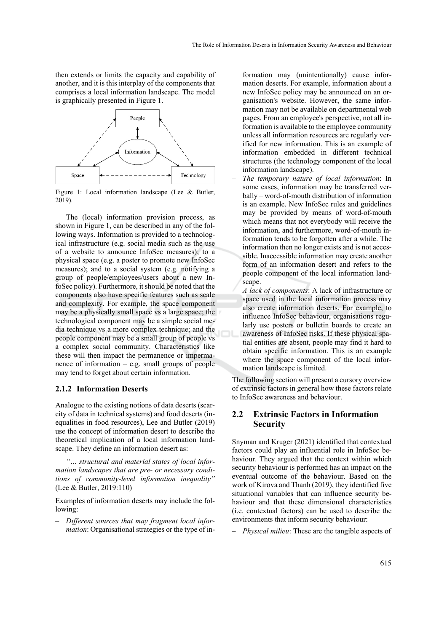then extends or limits the capacity and capability of another, and it is this interplay of the components that comprises a local information landscape. The model is graphically presented in Figure 1.



Figure 1: Local information landscape (Lee & Butler, 2019).

The (local) information provision process, as shown in Figure 1, can be described in any of the following ways. Information is provided to a technological infrastructure (e.g. social media such as the use of a website to announce InfoSec measures); to a physical space (e.g. a poster to promote new InfoSec measures); and to a social system (e.g. notifying a group of people/employees/users about a new InfoSec policy). Furthermore, it should be noted that the components also have specific features such as scale and complexity. For example, the space component may be a physically small space vs a large space; the technological component may be a simple social media technique vs a more complex technique; and the people component may be a small group of people vs a complex social community. Characteristics like these will then impact the permanence or impermanence of information – e.g. small groups of people may tend to forget about certain information.

#### **2.1.2 Information Deserts**

Analogue to the existing notions of data deserts (scarcity of data in technical systems) and food deserts (inequalities in food resources), Lee and Butler (2019) use the concept of information desert to describe the theoretical implication of a local information landscape. They define an information desert as:

*"… structural and material states of local information landscapes that are pre- or necessary conditions of community-level information inequality"*  (Lee & Butler, 2019:110)

Examples of information deserts may include the following:

*– Different sources that may fragment local information*: Organisational strategies or the type of information may (unintentionally) cause information deserts. For example, information about a new InfoSec policy may be announced on an organisation's website. However, the same information may not be available on departmental web pages. From an employee's perspective, not all information is available to the employee community unless all information resources are regularly verified for new information. This is an example of information embedded in different technical structures (the technology component of the local information landscape).

*– The temporary nature of local information*: In some cases, information may be transferred verbally – word-of-mouth distribution of information is an example. New InfoSec rules and guidelines may be provided by means of word-of-mouth which means that not everybody will receive the information, and furthermore, word-of-mouth information tends to be forgotten after a while. The information then no longer exists and is not accessible. Inaccessible information may create another form of an information desert and refers to the people component of the local information landscape.

*– A lack of components*: A lack of infrastructure or space used in the local information process may also create information deserts. For example, to influence InfoSec behaviour, organisations regularly use posters or bulletin boards to create an awareness of InfoSec risks. If these physical spatial entities are absent, people may find it hard to obtain specific information. This is an example where the space component of the local information landscape is limited.

The following section will present a cursory overview of extrinsic factors in general how these factors relate to InfoSec awareness and behaviour.

# **2.2 Extrinsic Factors in Information Security**

Snyman and Kruger (2021) identified that contextual factors could play an influential role in InfoSec behaviour. They argued that the context within which security behaviour is performed has an impact on the eventual outcome of the behaviour. Based on the work of Kirova and Thanh (2019), they identified five situational variables that can influence security behaviour and that these dimensional characteristics (i.e. contextual factors) can be used to describe the environments that inform security behaviour:

*– Physical milieu*: These are the tangible aspects of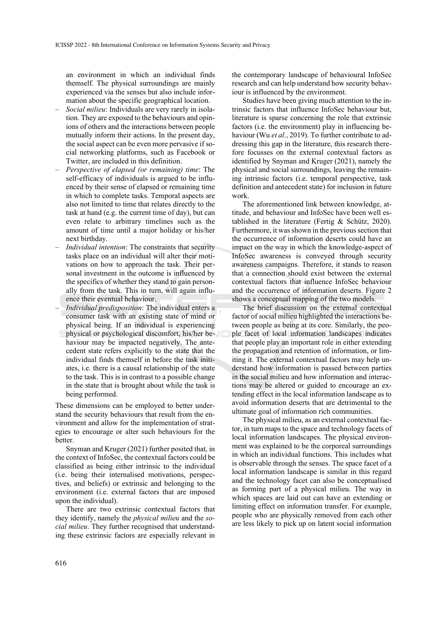an environment in which an individual finds themself. The physical surroundings are mainly experienced via the senses but also include information about the specific geographical location.

- *Social milieu*: Individuals are very rarely in isolation. They are exposed to the behaviours and opinions of others and the interactions between people mutually inform their actions. In the present day, the social aspect can be even more pervasive if social networking platforms, such as Facebook or Twitter, are included in this definition.
- *Perspective of elapsed (or remaining) time*: The self-efficacy of individuals is argued to be influenced by their sense of elapsed or remaining time in which to complete tasks. Temporal aspects are also not limited to time that relates directly to the task at hand (e.g. the current time of day), but can even relate to arbitrary timelines such as the amount of time until a major holiday or his/her next birthday.
- *Individual intention*: The constraints that security tasks place on an individual will alter their motivations on how to approach the task. Their personal investment in the outcome is influenced by the specifics of whether they stand to gain personally from the task. This in turn, will again influence their eventual behaviour.
- *Individual predisposition*: The individual enters a consumer task with an existing state of mind or physical being. If an individual is experiencing physical or psychological discomfort, his/her behaviour may be impacted negatively. The antecedent state refers explicitly to the state that the individual finds themself in before the task initiates, i.e. there is a causal relationship of the state to the task. This is in contrast to a possible change in the state that is brought about while the task is being performed.

These dimensions can be employed to better understand the security behaviours that result from the environment and allow for the implementation of strategies to encourage or alter such behaviours for the **better** 

Snyman and Kruger (2021) further posited that, in the context of InfoSec, the contextual factors could be classified as being either intrinsic to the individual (i.e. being their internalised motivations, perspectives, and beliefs) or extrinsic and belonging to the environment (i.e. external factors that are imposed upon the individual).

There are two extrinsic contextual factors that they identify, namely the *physical milieu* and the *social milieu*. They further recognised that understanding these extrinsic factors are especially relevant in

the contemporary landscape of behavioural InfoSec research and can help understand how security behaviour is influenced by the environment.

Studies have been giving much attention to the intrinsic factors that influence InfoSec behaviour but, literature is sparse concerning the role that extrinsic factors (i.e. the environment) play in influencing behaviour (Wu *et al.*, 2019). To further contribute to addressing this gap in the literature, this research therefore focusses on the external contextual factors as identified by Snyman and Kruger (2021), namely the physical and social surroundings, leaving the remaining intrinsic factors (i.e. temporal perspective, task definition and antecedent state) for inclusion in future work.

The aforementioned link between knowledge, attitude, and behaviour and InfoSec have been well established in the literature (Fertig & Schütz, 2020). Furthermore, it was shown in the previous section that the occurrence of information deserts could have an impact on the way in which the knowledge-aspect of InfoSec awareness is conveyed through security awareness campaigns. Therefore, it stands to reason that a connection should exist between the external contextual factors that influence InfoSec behaviour and the occurrence of information deserts. Figure 2 shows a conceptual mapping of the two models.

The brief discussion on the external contextual factor of social milieu highlighted the interactions between people as being at its core. Similarly, the people facet of local information landscapes indicates that people play an important role in either extending the propagation and retention of information, or limiting it. The external contextual factors may help understand how information is passed between parties in the social milieu and how information and interactions may be altered or guided to encourage an extending effect in the local information landscape as to avoid information deserts that are detrimental to the ultimate goal of information rich communities.

The physical milieu, as an external contextual factor, in turn maps to the space and technology facets of local information landscapes. The physical environment was explained to be the corporeal surroundings in which an individual functions. This includes what is observable through the senses. The space facet of a local information landscape is similar in this regard and the technology facet can also be conceptualised as forming part of a physical milieu. The way in which spaces are laid out can have an extending or limiting effect on information transfer. For example, people who are physically removed from each other are less likely to pick up on latent social information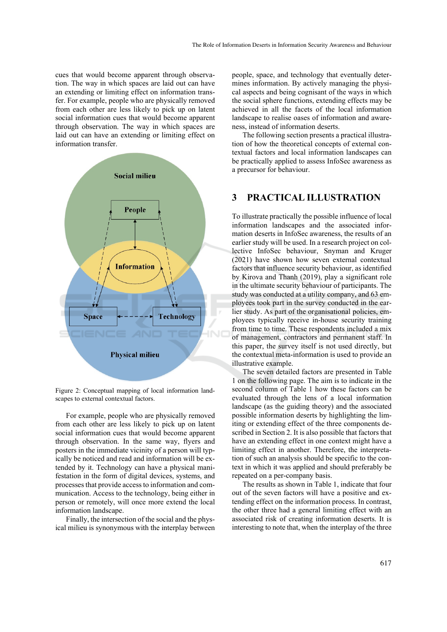cues that would become apparent through observation. The way in which spaces are laid out can have an extending or limiting effect on information transfer. For example, people who are physically removed from each other are less likely to pick up on latent social information cues that would become apparent through observation. The way in which spaces are laid out can have an extending or limiting effect on information transfer.



Figure 2: Conceptual mapping of local information landscapes to external contextual factors.

For example, people who are physically removed from each other are less likely to pick up on latent social information cues that would become apparent through observation. In the same way, flyers and posters in the immediate vicinity of a person will typically be noticed and read and information will be extended by it. Technology can have a physical manifestation in the form of digital devices, systems, and processes that provide access to information and communication. Access to the technology, being either in person or remotely, will once more extend the local information landscape.

Finally, the intersection of the social and the physical milieu is synonymous with the interplay between

people, space, and technology that eventually determines information. By actively managing the physical aspects and being cognisant of the ways in which the social sphere functions, extending effects may be achieved in all the facets of the local information landscape to realise oases of information and awareness, instead of information deserts.

The following section presents a practical illustration of how the theoretical concepts of external contextual factors and local information landscapes can be practically applied to assess InfoSec awareness as a precursor for behaviour.

# **3 PRACTICAL ILLUSTRATION**

To illustrate practically the possible influence of local information landscapes and the associated information deserts in InfoSec awareness, the results of an earlier study will be used. In a research project on collective InfoSec behaviour, Snyman and Kruger (2021) have shown how seven external contextual factors that influence security behaviour, as identified by Kirova and Thanh (2019), play a significant role in the ultimate security behaviour of participants. The study was conducted at a utility company, and 63 employees took part in the survey conducted in the earlier study. As part of the organisational policies, employees typically receive in-house security training from time to time. These respondents included a mix of management, contractors and permanent staff. In this paper, the survey itself is not used directly, but the contextual meta-information is used to provide an illustrative example.

The seven detailed factors are presented in Table 1 on the following page. The aim is to indicate in the second column of Table 1 how these factors can be evaluated through the lens of a local information landscape (as the guiding theory) and the associated possible information deserts by highlighting the limiting or extending effect of the three components described in Section 2. It is also possible that factors that have an extending effect in one context might have a limiting effect in another. Therefore, the interpretation of such an analysis should be specific to the context in which it was applied and should preferably be repeated on a per-company basis.

The results as shown in Table 1, indicate that four out of the seven factors will have a positive and extending effect on the information process. In contrast, the other three had a general limiting effect with an associated risk of creating information deserts. It is interesting to note that, when the interplay of the three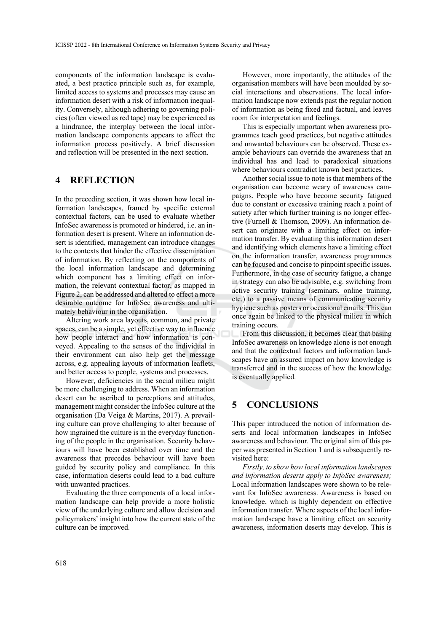components of the information landscape is evaluated, a best practice principle such as, for example, limited access to systems and processes may cause an information desert with a risk of information inequality. Conversely, although adhering to governing policies (often viewed as red tape) may be experienced as a hindrance, the interplay between the local information landscape components appears to affect the information process positively. A brief discussion and reflection will be presented in the next section.

# **4 REFLECTION**

In the preceding section, it was shown how local information landscapes, framed by specific external contextual factors, can be used to evaluate whether InfoSec awareness is promoted or hindered, i.e. an information desert is present. Where an information desert is identified, management can introduce changes to the contexts that hinder the effective dissemination of information. By reflecting on the components of the local information landscape and determining which component has a limiting effect on information, the relevant contextual factor, as mapped in Figure 2, can be addressed and altered to effect a more desirable outcome for InfoSec awareness and ultimately behaviour in the organisation.

Altering work area layouts, common, and private spaces, can be a simple, yet effective way to influence how people interact and how information is conveyed. Appealing to the senses of the individual in their environment can also help get the message across, e.g. appealing layouts of information leaflets, and better access to people, systems and processes.

However, deficiencies in the social milieu might be more challenging to address. When an information desert can be ascribed to perceptions and attitudes, management might consider the InfoSec culture at the organisation (Da Veiga & Martins, 2017). A prevailing culture can prove challenging to alter because of how ingrained the culture is in the everyday functioning of the people in the organisation. Security behaviours will have been established over time and the awareness that precedes behaviour will have been guided by security policy and compliance. In this case, information deserts could lead to a bad culture with unwanted practices.

Evaluating the three components of a local information landscape can help provide a more holistic view of the underlying culture and allow decision and policymakers' insight into how the current state of the culture can be improved.

However, more importantly, the attitudes of the organisation members will have been moulded by social interactions and observations. The local information landscape now extends past the regular notion of information as being fixed and factual, and leaves room for interpretation and feelings.

This is especially important when awareness programmes teach good practices, but negative attitudes and unwanted behaviours can be observed. These example behaviours can override the awareness that an individual has and lead to paradoxical situations where behaviours contradict known best practices.

Another social issue to note is that members of the organisation can become weary of awareness campaigns. People who have become security fatigued due to constant or excessive training reach a point of satiety after which further training is no longer effective (Furnell & Thomson, 2009). An information desert can originate with a limiting effect on information transfer. By evaluating this information desert and identifying which elements have a limiting effect on the information transfer, awareness programmes can be focused and concise to pinpoint specific issues. Furthermore, in the case of security fatigue, a change in strategy can also be advisable, e.g. switching from active security training (seminars, online training, etc.) to a passive means of communicating security hygiene such as posters or occasional emails. This can once again be linked to the physical milieu in which training occurs.

From this discussion, it becomes clear that basing InfoSec awareness on knowledge alone is not enough and that the contextual factors and information landscapes have an assured impact on how knowledge is transferred and in the success of how the knowledge is eventually applied.

# **5 CONCLUSIONS**

This paper introduced the notion of information deserts and local information landscapes in InfoSec awareness and behaviour. The original aim of this paper was presented in Section 1 and is subsequently revisited here:

*Firstly, to show how local information landscapes and information deserts apply to InfoSec awareness;*  Local information landscapes were shown to be relevant for InfoSec awareness. Awareness is based on knowledge, which is highly dependent on effective information transfer. Where aspects of the local information landscape have a limiting effect on security awareness, information deserts may develop. This is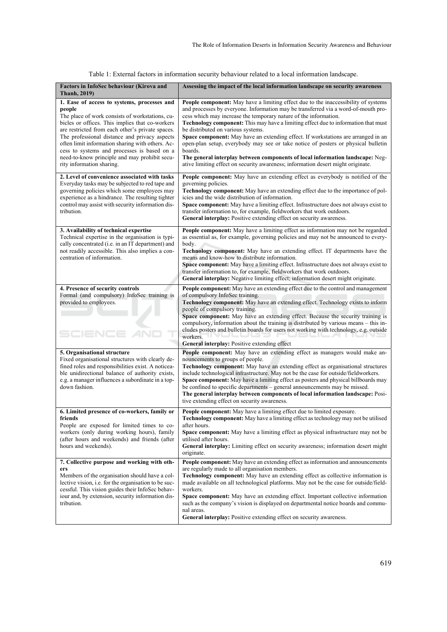| Factors in InfoSec behaviour (Kirova and<br><b>Thanh, 2019)</b>                                                                                                                                                                                                                                                                                                                                                                                   | Assessing the impact of the local information landscape on security awareness                                                                                                                                                                                                                                                                                                                                                                                                                                                                                                                                                                                                                                                      |
|---------------------------------------------------------------------------------------------------------------------------------------------------------------------------------------------------------------------------------------------------------------------------------------------------------------------------------------------------------------------------------------------------------------------------------------------------|------------------------------------------------------------------------------------------------------------------------------------------------------------------------------------------------------------------------------------------------------------------------------------------------------------------------------------------------------------------------------------------------------------------------------------------------------------------------------------------------------------------------------------------------------------------------------------------------------------------------------------------------------------------------------------------------------------------------------------|
| 1. Ease of access to systems, processes and<br>people<br>The place of work consists of workstations, cu-<br>bicles or offices. This implies that co-workers<br>are restricted from each other's private spaces.<br>The professional distance and privacy aspects<br>often limit information sharing with others. Ac-<br>cess to systems and processes is based on a<br>need-to-know principle and may prohibit secu-<br>rity information sharing. | People component: May have a limiting effect due to the inaccessibility of systems<br>and processes by everyone. Information may be transferred via a word-of-mouth pro-<br>cess which may increase the temporary nature of the information.<br>Technology component: This may have a limiting effect due to information that must<br>be distributed on various systems.<br>Space component: May have an extending effect. If workstations are arranged in an<br>open-plan setup, everybody may see or take notice of posters or physical bulletin<br>boards.<br>The general interplay between components of local information landscape: Neg-<br>ative limiting effect on security awareness; information desert might originate. |
| 2. Level of convenience associated with tasks<br>Everyday tasks may be subjected to red tape and<br>governing policies which some employees may<br>experience as a hindrance. The resulting tighter<br>control may assist with security information dis-<br>tribution.                                                                                                                                                                            | People component: May have an extending effect as everybody is notified of the<br>governing policies.<br>Technology component: May have an extending effect due to the importance of pol-<br>icies and the wide distribution of information.<br>Space component: May have a limiting effect. Infrastructure does not always exist to<br>transfer information to, for example, fieldworkers that work outdoors.<br>General interplay: Positive extending effect on security awareness.                                                                                                                                                                                                                                              |
| 3. Availability of technical expertise<br>Technical expertise in the organisation is typi-<br>cally concentrated (i.e. in an IT department) and<br>not readily accessible. This also implies a con-<br>centration of information.                                                                                                                                                                                                                 | People component: May have a limiting effect as information may not be regarded<br>as essential as, for example, governing policies and may not be announced to every-<br>body.<br>Technology component: May have an extending effect. IT departments have the<br>means and know-how to distribute information.<br>Space component: May have a limiting effect. Infrastructure does not always exist to<br>transfer information to, for example, fieldworkers that work outdoors.<br>General interplay: Negative limiting effect; information desert might originate.                                                                                                                                                              |
| 4. Presence of security controls<br>Formal (and compulsory) InfoSec training is<br>provided to employees.                                                                                                                                                                                                                                                                                                                                         | <b>People component:</b> May have an extending effect due to the control and management<br>of compulsory InfoSec training.<br>Technology component: May have an extending effect. Technology exists to inform<br>people of compulsory training.<br>Space component: May have an extending effect. Because the security training is<br>compulsory, information about the training is distributed by various means - this in-<br>cludes posters and bulletin boards for users not working with technology, e.g. outside<br>workers.<br>General interplay: Positive extending effect                                                                                                                                                  |
| 5. Organisational structure<br>Fixed organisational structures with clearly de-<br>fined roles and responsibilities exist. A noticea-<br>ble unidirectional balance of authority exists,<br>e.g. a manager influences a subordinate in a top-<br>down fashion.                                                                                                                                                                                    | People component: May have an extending effect as managers would make an-<br>nouncements to groups of people.<br><b>Technology component:</b> May have an extending effect as organisational structures<br>include technological infrastructure. May not be the case for outside/fieldworkers.<br><b>Space component:</b> May have a limiting effect as posters and physical billboards may<br>be confined to specific departments – general announcements may be missed.<br>The general interplay between components of local information landscape: Posi-<br>tive extending effect on security awareness.                                                                                                                        |
| 6. Limited presence of co-workers, family or<br>friends<br>People are exposed for limited times to co-<br>workers (only during working hours), family<br>(after hours and weekends) and friends (after<br>hours and weekends).                                                                                                                                                                                                                    | People component: May have a limiting effect due to limited exposure.<br><b>Technology component:</b> May have a limiting effect as technology may not be utilised<br>after hours.<br><b>Space component:</b> May have a limiting effect as physical infrastructure may not be<br>utilised after hours.<br>General interplay: Limiting effect on security awareness; information desert might<br>originate.                                                                                                                                                                                                                                                                                                                        |
| 7. Collective purpose and working with oth-<br>ers<br>Members of the organisation should have a col-<br>lective vision, i.e. for the organisation to be suc-<br>cessful. This vision guides their InfoSec behav-<br>iour and, by extension, security information dis-<br>tribution.                                                                                                                                                               | People component: May have an extending effect as information and announcements<br>are regularly made to all organisation members.<br>Technology component: May have an extending effect as collective information is<br>made available on all technological platforms. May not be the case for outside/field-<br>workers.<br>Space component: May have an extending effect. Important collective information<br>such as the company's vision is displayed on departmental notice boards and commu-<br>nal areas.<br>General interplay: Positive extending effect on security awareness.                                                                                                                                           |

Table 1: External factors in information security behaviour related to a local information landscape.